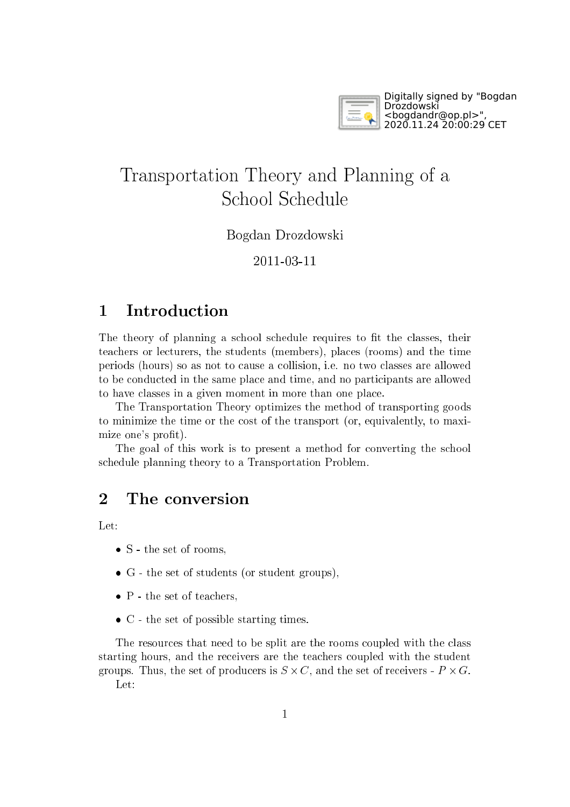

## Transportation Theory and Planning of <sup>a</sup> S
hool S
hedule

Bogdan Drozdowski

2011-03-11

## **Introduction**  $\mathbf{1}$

The theory of planning a school schedule requires to fit the classes, their tea
hers or le
turers, the students (members), pla
es (rooms) and the time periods (hours) so as not to ause <sup>a</sup> ollision, i.e. no two lasses are allowed to be conducted in the same place and time, and no participants are allowed to have lasses in <sup>a</sup> given moment in more than one pla
e.

The Transportation Theory optimizes the method of transporting goods to minimize the time or the ost of the transport (or, equivalently, to maximize one's profit).

The goal of this work is to present a method for converting the school s
hedule planning theory to <sup>a</sup> Transportation Problem.

## <sup>2</sup> The onversion

Let:

- S the set of rooms,
- <sup>G</sup> the set of students (or student groups),
- $\bullet$  P the set of teachers.
- <sup>C</sup> the set of possible starting times.

The resources that need to be split are the rooms coupled with the class starting hours, and the re
eivers are the tea
hers oupled with the student groups. Thus, the set of production is going the set of the set of relationship is going Let: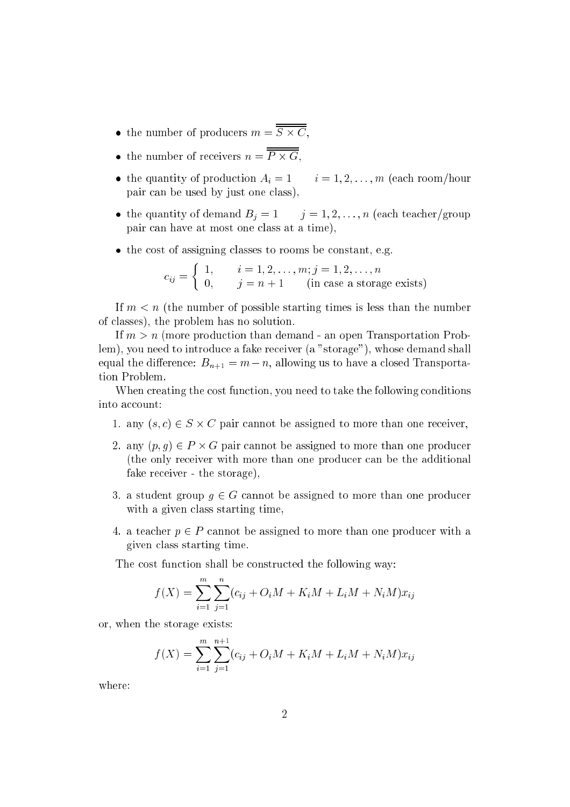- the number of productions in the state of  $\sim$
- the number of re
eivers n <sup>=</sup> <sup>P</sup> G,
- the quantity of production  $A_i = 1$   $i = 1, 2, ..., m$  (each room/hour pair an be used by just one lass),
- the quantity of demand  $B_i = 1$   $j = 1, 2, ..., n$  (each teacher/group pair an have at most one lass at <sup>a</sup> time),
- the cost of assigning classes to rooms be constant, e.g.

$$
c_{ij} = \begin{cases} 1, & i = 1, 2, \dots, m; j = 1, 2, \dots, n \\ 0, & j = n + 1 \end{cases}
$$
 (in case a storage exists)

If  $m < n$  (the number of possible starting times is less than the number of lasses), the problem has no solution.

If  $m > n$  (more production than demand - an open Transportation Problem), you need to introdu
e <sup>a</sup> fake re
eiver (a "storage"), whose demand shall equal the difference:  $B_{n+1} = m - n$ , allowing us to have a closed Transportation Problem.

When creating the cost function, you need to take the following conditions into account:

- $\mathcal{C}$  and  $\mathcal{C}$  is the assigned to more than one relationship of  $\mathcal{C}$
- 2. any (p; g) <sup>2</sup> P G pair annot be assigned to more than one produ
er (the only re
eiver with more than one produ
er an be the additional fake re
eiver - the storage),
- 3. a student group  $g \in G$  cannot be assigned to more than one producer with a given class starting time,
- 4. a teacher  $p \in P$  cannot be assigned to more than one producer with a given lass starting time.

The cost function shall be constructed the following way:

$$
f(X) = \sum_{i=1}^{m} \sum_{j=1}^{n} (c_{ij} + O_i M + K_i M + L_i M + N_i M) x_{ij}
$$

or, when the storage exists:

$$
f(X) = \sum_{i=1}^{m} \sum_{j=1}^{n+1} (c_{ij} + O_i M + K_i M + L_i M + N_i M) x_{ij}
$$

where: